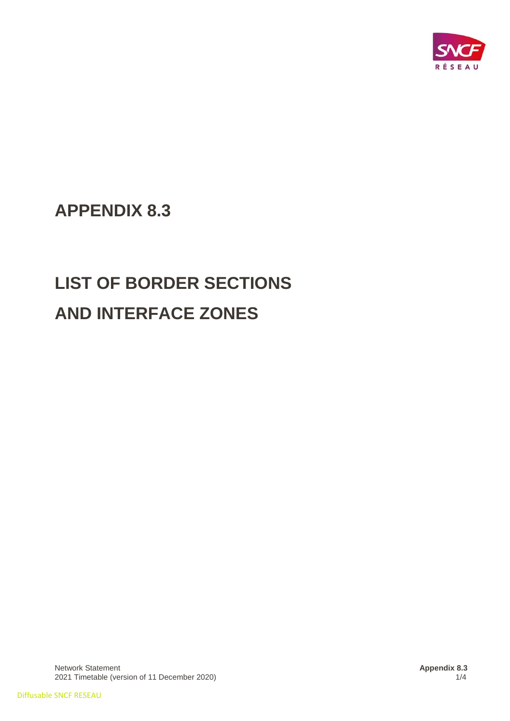

# **APPENDIX 8.3**

# **LIST OF BORDER SECTIONS AND INTERFACE ZONES**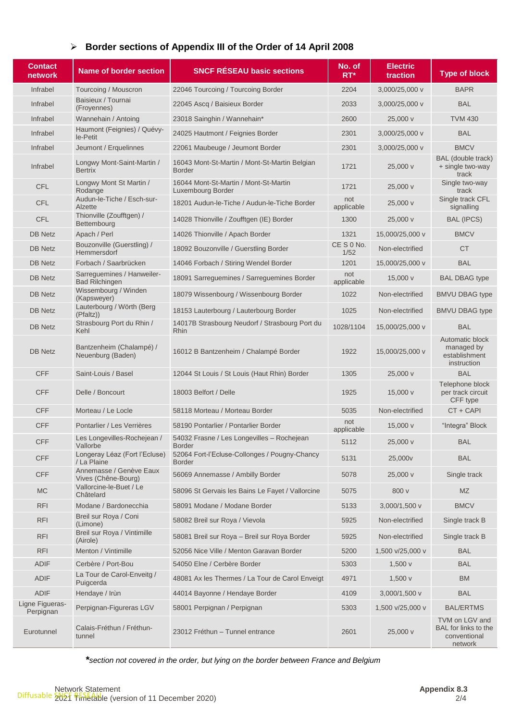## ➢ **Border sections of Appendix III of the Order of 14 April 2008**

| <b>Contact</b><br>network    | <b>Name of border section</b>                       | <b>SNCF RÉSEAU basic sections</b>                              | No. of<br>$RT^*$  | <b>Electric</b><br>traction | <b>Type of block</b>                                              |
|------------------------------|-----------------------------------------------------|----------------------------------------------------------------|-------------------|-----------------------------|-------------------------------------------------------------------|
| Infrabel                     | Tourcoing / Mouscron                                | 22046 Tourcoing / Tourcoing Border                             | 2204              | 3,000/25,000 v              | <b>BAPR</b>                                                       |
| Infrabel                     | Baisieux / Tournai<br>(Froyennes)                   | 22045 Ascq / Baisieux Border                                   | 2033              | 3,000/25,000 v              | <b>BAL</b>                                                        |
| Infrabel                     | Wannehain / Antoing                                 | 23018 Sainghin / Wannehain*                                    | 2600              | 25,000 v                    | <b>TVM 430</b>                                                    |
| Infrabel                     | Haumont (Feignies) / Quévy-<br>le-Petit             | 24025 Hautmont / Feignies Border                               | 2301              | 3,000/25,000 v              | <b>BAL</b>                                                        |
| Infrabel                     | Jeumont / Erquelinnes                               | 22061 Maubeuge / Jeumont Border                                | 2301              | 3,000/25,000 v              | <b>BMCV</b>                                                       |
| Infrabel                     | Longwy Mont-Saint-Martin /<br><b>Bertrix</b>        | 16043 Mont-St-Martin / Mont-St-Martin Belgian<br><b>Border</b> | 1721              | 25,000 v                    | BAL (double track)<br>+ single two-way<br>track                   |
| <b>CFL</b>                   | Longwy Mont St Martin /<br>Rodange                  | 16044 Mont-St-Martin / Mont-St-Martin<br>Luxembourg Border     | 1721              | 25,000 v                    | Single two-way<br>track                                           |
| <b>CFL</b>                   | Audun-le-Tiche / Esch-sur-<br>Alzette               | 18201 Audun-le-Tiche / Audun-le-Tiche Border                   | not<br>applicable | 25,000 v                    | Single track CFL<br>signalling                                    |
| <b>CFL</b>                   | Thionville (Zoufftgen) /<br>Bettembourg             | 14028 Thionville / Zoufftgen (IE) Border                       | 1300              | 25,000 v                    | <b>BAL (IPCS)</b>                                                 |
| <b>DB Netz</b>               | Apach / Perl                                        | 14026 Thionville / Apach Border                                | 1321              | 15,000/25,000 v             | <b>BMCV</b>                                                       |
| <b>DB Netz</b>               | Bouzonville (Guerstling) /<br>Hemmersdorf           | 18092 Bouzonville / Guerstling Border                          | CES0No.<br>1/52   | Non-electrified             | CT                                                                |
| <b>DB Netz</b>               | Forbach / Saarbrücken                               | 14046 Forbach / Stiring Wendel Border                          | 1201              | 15,000/25,000 v             | <b>BAL</b>                                                        |
| <b>DB Netz</b>               | Sarrequemines / Hanweiler-<br><b>Bad Rilchingen</b> | 18091 Sarreguemines / Sarreguemines Border                     | not<br>applicable | 15,000 v                    | <b>BAL DBAG type</b>                                              |
| <b>DB Netz</b>               | Wissembourg / Winden<br>(Kapsweyer)                 | 18079 Wissenbourg / Wissenbourg Border                         | 1022              | Non-electrified             | <b>BMVU DBAG type</b>                                             |
| <b>DB Netz</b>               | Lauterbourg / Wörth (Berg<br>(Pfaltz))              | 18153 Lauterbourg / Lauterbourg Border                         | 1025              | Non-electrified             | <b>BMVU DBAG type</b>                                             |
| <b>DB Netz</b>               | Strasbourg Port du Rhin /<br>Kehl                   | 14017B Strasbourg Neudorf / Strasbourg Port du<br><b>Rhin</b>  | 1028/1104         | 15,000/25,000 v             | <b>BAL</b>                                                        |
| <b>DB Netz</b>               | Bantzenheim (Chalampé) /<br>Neuenburg (Baden)       | 16012 B Bantzenheim / Chalampé Border                          | 1922              | 15,000/25,000 v             | Automatic block<br>managed by<br>establishment<br>instruction     |
| <b>CFF</b>                   | Saint-Louis / Basel                                 | 12044 St Louis / St Louis (Haut Rhin) Border                   | 1305              | 25,000 v                    | <b>BAL</b>                                                        |
| <b>CFF</b>                   | Delle / Boncourt                                    | 18003 Belfort / Delle                                          | 1925              | $15,000 \text{ v}$          | Telephone block<br>per track circuit<br>CFF type                  |
| <b>CFF</b>                   | Morteau / Le Locle                                  | 58118 Morteau / Morteau Border                                 | 5035              | Non-electrified             | CT + CAPI                                                         |
| <b>CFF</b>                   | Pontarlier / Les Verrières                          | 58190 Pontarlier / Pontarlier Border                           | not<br>applicable | 15,000 v                    | "Integra" Block                                                   |
| <b>CFF</b>                   | Les Longevilles-Rochejean /<br>Vallorbe             | 54032 Frasne / Les Longevilles - Rochejean<br><b>Border</b>    | 5112              | 25,000 v                    | <b>BAL</b>                                                        |
| <b>CFF</b>                   | Longeray Léaz (Fort l'Ecluse)<br>/ La Plaine        | 52064 Fort-l'Ecluse-Collonges / Pougny-Chancy<br><b>Border</b> | 5131              | 25,000v                     | <b>BAL</b>                                                        |
| <b>CFF</b>                   | Annemasse / Genève Eaux<br>Vives (Chêne-Bourg)      | 56069 Annemasse / Ambilly Border                               | 5078              | 25,000 v                    | Single track                                                      |
| <b>MC</b>                    | Vallorcine-le-Buet / Le<br>Châtelard                | 58096 St Gervais les Bains Le Fayet / Vallorcine               | 5075              | 800 v                       | <b>MZ</b>                                                         |
| <b>RFI</b>                   | Modane / Bardonecchia                               | 58091 Modane / Modane Border                                   | 5133              | 3,000/1,500 v               | <b>BMCV</b>                                                       |
| <b>RFI</b>                   | Breil sur Roya / Coni<br>(Limone)                   | 58082 Breil sur Roya / Vievola                                 | 5925              | Non-electrified             | Single track B                                                    |
| <b>RFI</b>                   | Breil sur Roya / Vintimille<br>(Airole)             | 58081 Breil sur Roya - Breil sur Roya Border                   | 5925              | Non-electrified             | Single track B                                                    |
| <b>RFI</b>                   | Menton / Vintimille                                 | 52056 Nice Ville / Menton Garavan Border                       | 5200              | 1,500 v/25,000 v            | <b>BAL</b>                                                        |
| <b>ADIF</b>                  | Cerbère / Port-Bou                                  | 54050 Elne / Cerbère Border                                    | 5303              | 1,500v                      | <b>BAL</b>                                                        |
| <b>ADIF</b>                  | La Tour de Carol-Enveitg /<br>Puigcerda             | 48081 Ax les Thermes / La Tour de Carol Enveigt                | 4971              | 1,500 $v$                   | <b>BM</b>                                                         |
| <b>ADIF</b>                  | Hendaye / Irùn                                      | 44014 Bayonne / Hendaye Border                                 | 4109              | 3,000/1,500 v               | <b>BAL</b>                                                        |
| Ligne Figueras-<br>Perpignan | Perpignan-Figureras LGV                             | 58001 Perpignan / Perpignan                                    | 5303              | 1,500 v/25,000 v            | <b>BAL/ERTMS</b>                                                  |
| Eurotunnel                   | Calais-Fréthun / Fréthun-<br>tunnel                 | 23012 Fréthun - Tunnel entrance                                | 2601              | 25,000 v                    | TVM on LGV and<br>BAL for links to the<br>conventional<br>network |

*\*section not covered in the order, but lying on the border between France and Belgium*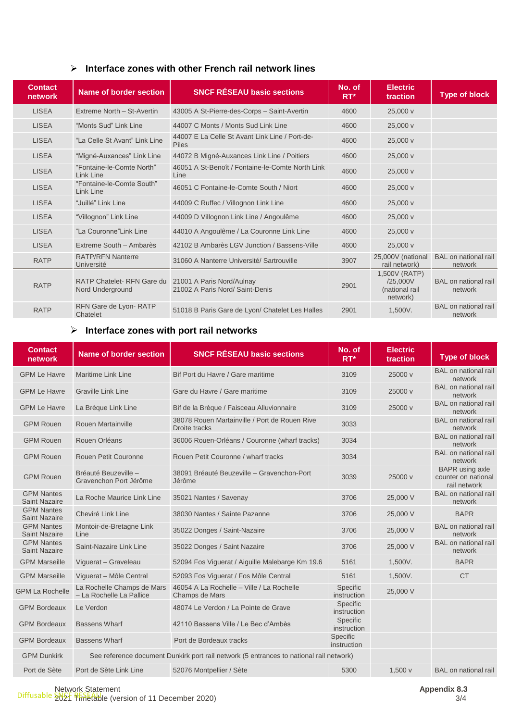### ➢ **Interface zones with other French rail network lines**

| <b>Contact</b><br>network | Name of border section                               | <b>SNCF RÉSEAU basic sections</b>                              | No. of<br>$RT^*$ | <b>Electric</b><br>traction                             | <b>Type of block</b>                   |
|---------------------------|------------------------------------------------------|----------------------------------------------------------------|------------------|---------------------------------------------------------|----------------------------------------|
| <b>LISEA</b>              | Extreme North - St-Avertin                           | 43005 A St-Pierre-des-Corps - Saint-Avertin                    | 4600             | 25,000 v                                                |                                        |
| <b>LISEA</b>              | "Monts Sud" Link Line                                | 44007 C Monts / Monts Sud Link Line                            | 4600             | 25,000 v                                                |                                        |
| <b>LISEA</b>              | "La Celle St Avant" Link Line                        | 44007 E La Celle St Avant Link Line / Port-de-<br><b>Piles</b> | 4600             | 25,000 v                                                |                                        |
| <b>LISEA</b>              | "Migné-Auxances" Link Line                           | 44072 B Migné-Auxances Link Line / Poitiers                    | 4600             | 25,000 v                                                |                                        |
| <b>LISEA</b>              | "Fontaine-le-Comte North"<br>Link Line               | 46051 A St-Benoît / Fontaine-le-Comte North Link<br>Line       | 4600             | 25,000 v                                                |                                        |
| <b>LISEA</b>              | "Fontaine-le-Comte South"<br>Link Line               | 46051 C Fontaine-le-Comte South / Niort                        | 4600             | 25,000 v                                                |                                        |
| <b>LISEA</b>              | "Juillé" Link Line                                   | 44009 C Ruffec / Villognon Link Line                           | 4600             | 25,000 v                                                |                                        |
| <b>LISEA</b>              | "Villognon" Link Line                                | 44009 D Villognon Link Line / Angoulême                        | 4600             | 25,000 v                                                |                                        |
| <b>LISEA</b>              | "La Couronne"Link Line                               | 44010 A Angoulême / La Couronne Link Line                      | 4600             | 25,000 v                                                |                                        |
| <b>LISEA</b>              | Extreme South - Ambarès                              | 42102 B Ambarès LGV Junction / Bassens-Ville                   | 4600             | 25,000 v                                                |                                        |
| <b>RATP</b>               | <b>RATP/RFN Nanterre</b><br>Université               | 31060 A Nanterre Université/ Sartrouville                      | 3907             | 25,000V (national<br>rail network)                      | BAL on national rail<br>network        |
| <b>RATP</b>               | <b>RATP Chatelet-RFN Gare du</b><br>Nord Underground | 21001 A Paris Nord/Aulnay<br>21002 A Paris Nord/ Saint-Denis   | 2901             | 1,500V (RATP)<br>/25,000V<br>(national rail<br>network) | <b>BAL</b> on national rail<br>network |
| <b>RATP</b>               | RFN Gare de Lyon-RATP<br>Chatelet                    | 51018 B Paris Gare de Lyon/ Chatelet Les Halles                | 2901             | 1.500V.                                                 | BAL on national rail<br>network        |

#### ➢ **Interface zones with port rail networks**

| <b>Contact</b><br>network                 | <b>Name of border section</b>                                                           | <b>SNCF RÉSEAU basic sections</b>                              | No. of<br>RT*           | <b>Electric</b><br>traction | <b>Type of block</b>                                          |
|-------------------------------------------|-----------------------------------------------------------------------------------------|----------------------------------------------------------------|-------------------------|-----------------------------|---------------------------------------------------------------|
| <b>GPM Le Havre</b>                       | <b>Maritime Link Line</b>                                                               | Bif Port du Havre / Gare maritime                              | 3109                    | 25000 v                     | BAL on national rail<br>network                               |
| <b>GPM Le Havre</b>                       | <b>Graville Link Line</b>                                                               | Gare du Havre / Gare maritime                                  | 3109                    | 25000 v                     | <b>BAL</b> on national rail<br>network                        |
| <b>GPM Le Havre</b>                       | La Brèque Link Line                                                                     | Bif de la Brèque / Faisceau Alluvionnaire                      | 3109                    | 25000 v                     | <b>BAL</b> on national rail<br>network                        |
| <b>GPM Rouen</b>                          | Rouen Martainville                                                                      | 38078 Rouen Martainville / Port de Rouen Rive<br>Droite tracks | 3033                    |                             | <b>BAL</b> on national rail<br>network                        |
| <b>GPM Rouen</b>                          | Rouen Orléans                                                                           | 36006 Rouen-Orléans / Couronne (wharf tracks)                  | 3034                    |                             | <b>BAL</b> on national rail<br>network                        |
| <b>GPM Rouen</b>                          | <b>Rouen Petit Couronne</b>                                                             | Rouen Petit Couronne / wharf tracks                            | 3034                    |                             | <b>BAL</b> on national rail<br>network                        |
| <b>GPM Rouen</b>                          | Bréauté Beuzeville -<br>Gravenchon Port Jérôme                                          | 38091 Bréauté Beuzeville - Gravenchon-Port<br>Jérôme           | 3039                    | 25000 v                     | <b>BAPR</b> using axle<br>counter on national<br>rail network |
| <b>GPM Nantes</b><br><b>Saint Nazaire</b> | La Roche Maurice Link Line                                                              | 35021 Nantes / Savenay                                         | 3706                    | 25,000 V                    | <b>BAL</b> on national rail<br>network                        |
| <b>GPM Nantes</b><br><b>Saint Nazaire</b> | Cheviré Link Line                                                                       | 38030 Nantes / Sainte Pazanne                                  | 3706                    | 25,000 V                    | <b>BAPR</b>                                                   |
| <b>GPM Nantes</b><br><b>Saint Nazaire</b> | Montoir-de-Bretagne Link<br>Line                                                        | 35022 Donges / Saint-Nazaire                                   | 3706                    | 25,000 V                    | <b>BAL</b> on national rail<br>network                        |
| <b>GPM Nantes</b><br><b>Saint Nazaire</b> | Saint-Nazaire Link Line                                                                 | 35022 Donges / Saint Nazaire                                   | 3706                    | 25,000 V                    | <b>BAL</b> on national rail<br>network                        |
| <b>GPM Marseille</b>                      | Viguerat - Graveleau                                                                    | 52094 Fos Viguerat / Aiguille Malebarge Km 19.6                | 5161                    | 1,500V.                     | <b>BAPR</b>                                                   |
| <b>GPM Marseille</b>                      | Viguerat - Môle Central                                                                 | 52093 Fos Viguerat / Fos Môle Central                          | 5161                    | 1,500V.                     | <b>CT</b>                                                     |
| <b>GPM La Rochelle</b>                    | La Rochelle Champs de Mars<br>- La Rochelle La Pallice                                  | 46054 A La Rochelle - Ville / La Rochelle<br>Champs de Mars    | Specific<br>instruction | 25,000 V                    |                                                               |
| <b>GPM Bordeaux</b>                       | Le Verdon                                                                               | 48074 Le Verdon / La Pointe de Grave                           | Specific<br>instruction |                             |                                                               |
| <b>GPM Bordeaux</b>                       | <b>Bassens Wharf</b>                                                                    | 42110 Bassens Ville / Le Bec d'Ambès                           | Specific<br>instruction |                             |                                                               |
| <b>GPM Bordeaux</b>                       | <b>Bassens Wharf</b>                                                                    | Port de Bordeaux tracks                                        | Specific<br>instruction |                             |                                                               |
| <b>GPM Dunkirk</b>                        | See reference document Dunkirk port rail network (5 entrances to national rail network) |                                                                |                         |                             |                                                               |
| Port de Sète                              | Port de Sète Link Line                                                                  | 52076 Montpellier / Sète                                       | 5300                    | 1,500v                      | <b>BAL</b> on national rail                                   |